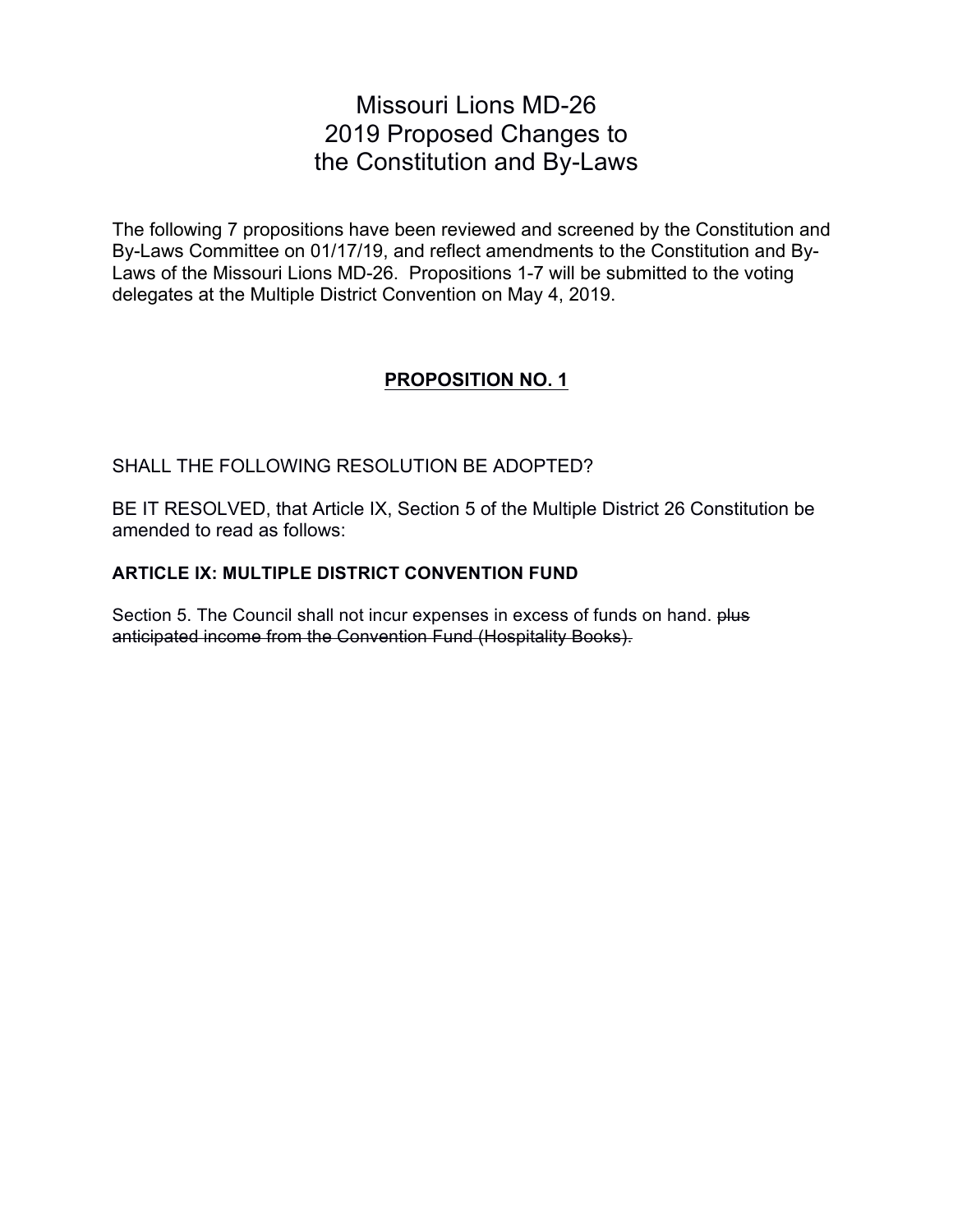# Missouri Lions MD-26 2019 Proposed Changes to the Constitution and By-Laws

The following 7 propositions have been reviewed and screened by the Constitution and By-Laws Committee on 01/17/19, and reflect amendments to the Constitution and By-Laws of the Missouri Lions MD-26. Propositions 1-7 will be submitted to the voting delegates at the Multiple District Convention on May 4, 2019.

# **PROPOSITION NO. 1**

### SHALL THE FOLLOWING RESOLUTION BE ADOPTED?

BE IT RESOLVED, that Article IX, Section 5 of the Multiple District 26 Constitution be amended to read as follows:

#### **ARTICLE IX: MULTIPLE DISTRICT CONVENTION FUND**

Section 5. The Council shall not incur expenses in excess of funds on hand. plus anticipated income from the Convention Fund (Hospitality Books).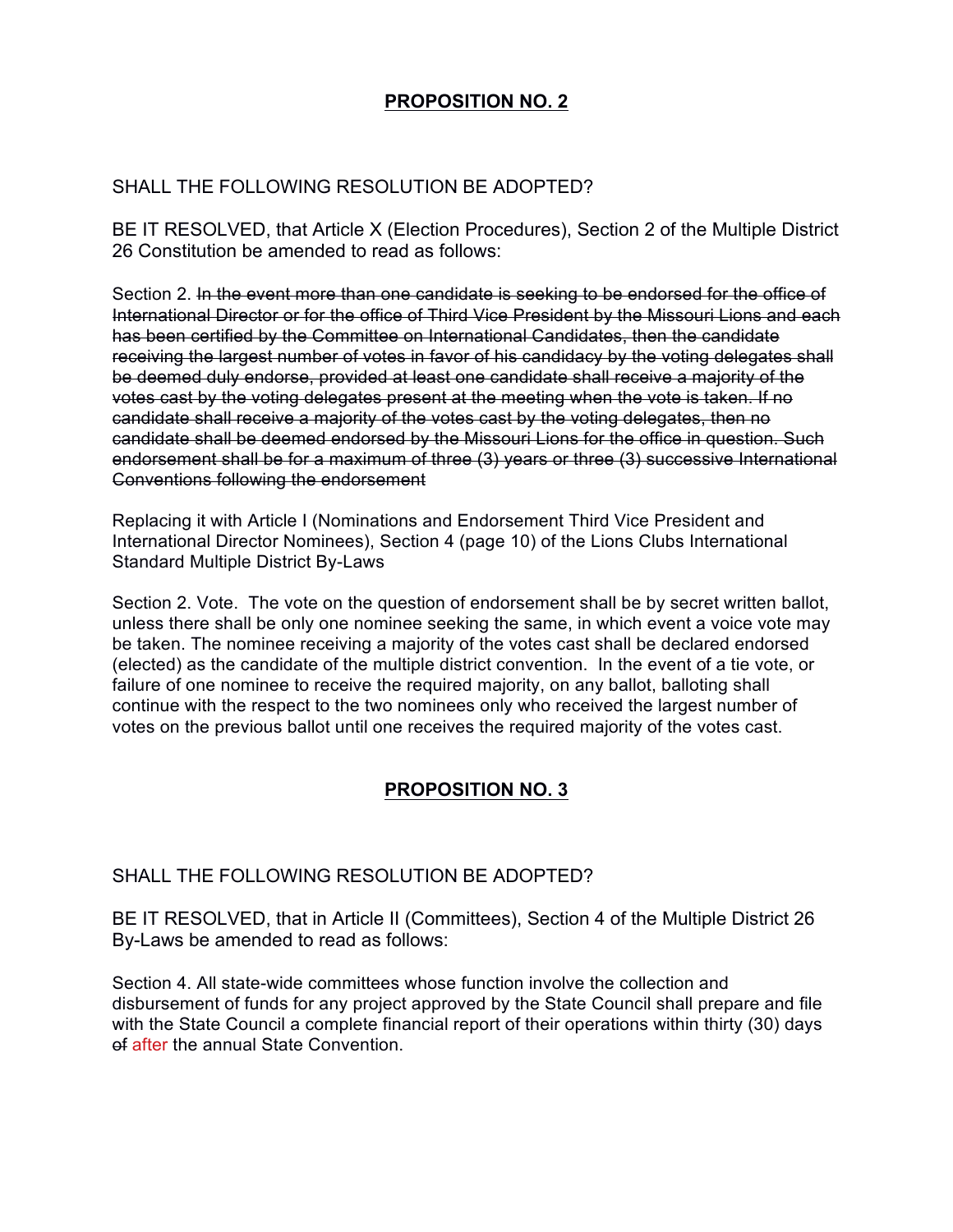# **PROPOSITION NO. 2**

### SHALL THE FOLLOWING RESOLUTION BE ADOPTED?

BE IT RESOLVED, that Article X (Election Procedures), Section 2 of the Multiple District 26 Constitution be amended to read as follows:

Section 2. In the event more than one candidate is seeking to be endorsed for the office of International Director or for the office of Third Vice President by the Missouri Lions and each has been certified by the Committee on International Candidates, then the candidate receiving the largest number of votes in favor of his candidacy by the voting delegates shall be deemed duly endorse, provided at least one candidate shall receive a majority of the votes cast by the voting delegates present at the meeting when the vote is taken. If no candidate shall receive a majority of the votes cast by the voting delegates, then no candidate shall be deemed endorsed by the Missouri Lions for the office in question. Such endorsement shall be for a maximum of three (3) years or three (3) successive International Conventions following the endorsement

Replacing it with Article I (Nominations and Endorsement Third Vice President and International Director Nominees), Section 4 (page 10) of the Lions Clubs International Standard Multiple District By-Laws

Section 2. Vote. The vote on the question of endorsement shall be by secret written ballot, unless there shall be only one nominee seeking the same, in which event a voice vote may be taken. The nominee receiving a majority of the votes cast shall be declared endorsed (elected) as the candidate of the multiple district convention. In the event of a tie vote, or failure of one nominee to receive the required majority, on any ballot, balloting shall continue with the respect to the two nominees only who received the largest number of votes on the previous ballot until one receives the required majority of the votes cast.

# **PROPOSITION NO. 3**

#### SHALL THE FOLLOWING RESOLUTION BE ADOPTED?

BE IT RESOLVED, that in Article II (Committees), Section 4 of the Multiple District 26 By-Laws be amended to read as follows:

Section 4. All state-wide committees whose function involve the collection and disbursement of funds for any project approved by the State Council shall prepare and file with the State Council a complete financial report of their operations within thirty (30) days of after the annual State Convention.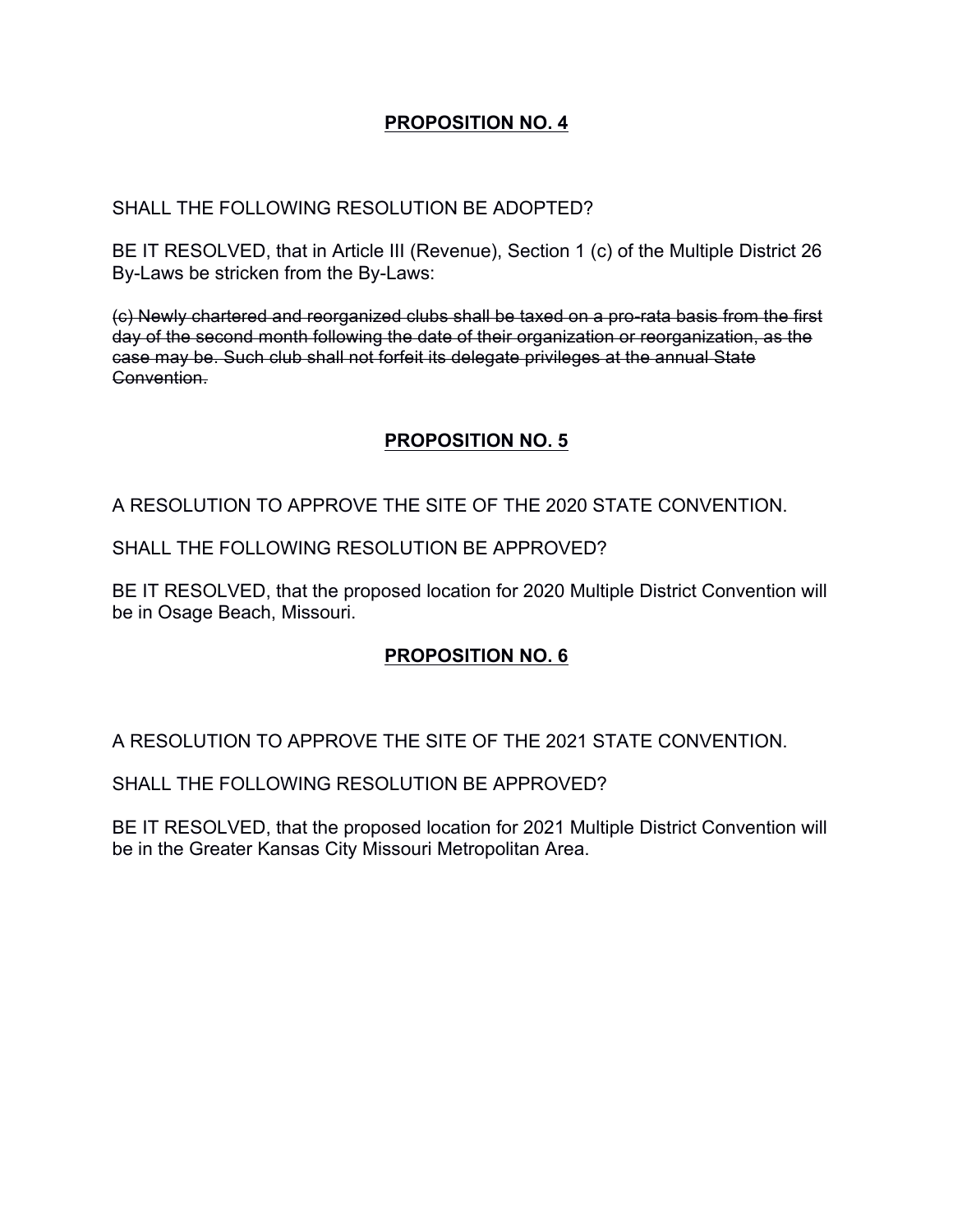# **PROPOSITION NO. 4**

# SHALL THE FOLLOWING RESOLUTION BE ADOPTED?

BE IT RESOLVED, that in Article III (Revenue), Section 1 (c) of the Multiple District 26 By-Laws be stricken from the By-Laws:

(c) Newly chartered and reorganized clubs shall be taxed on a pro-rata basis from the first day of the second month following the date of their organization or reorganization, as the case may be. Such club shall not forfeit its delegate privileges at the annual State Convention.

# **PROPOSITION NO. 5**

A RESOLUTION TO APPROVE THE SITE OF THE 2020 STATE CONVENTION.

SHALL THE FOLLOWING RESOLUTION BE APPROVED?

BE IT RESOLVED, that the proposed location for 2020 Multiple District Convention will be in Osage Beach, Missouri.

# **PROPOSITION NO. 6**

A RESOLUTION TO APPROVE THE SITE OF THE 2021 STATE CONVENTION.

SHALL THE FOLLOWING RESOLUTION BE APPROVED?

BE IT RESOLVED, that the proposed location for 2021 Multiple District Convention will be in the Greater Kansas City Missouri Metropolitan Area.